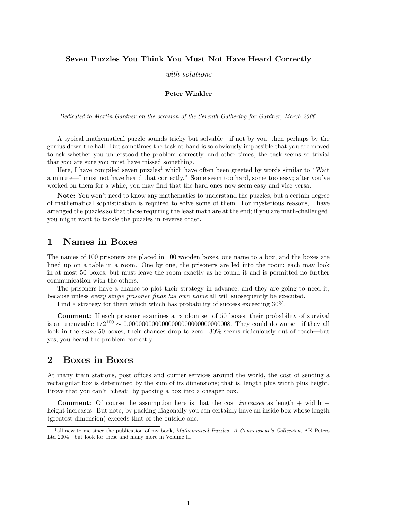### Seven Puzzles You Think You Must Not Have Heard Correctly

#### with solutions

#### Peter Winkler

Dedicated to Martin Gardner on the occasion of the Seventh Gathering for Gardner, March 2006.

A typical mathematical puzzle sounds tricky but solvable—if not by you, then perhaps by the genius down the hall. But sometimes the task at hand is so obviously impossible that you are moved to ask whether you understood the problem correctly, and other times, the task seems so trivial that you are sure you must have missed something.

Here, I have compiled seven  $puzzles<sup>1</sup>$  which have often been greeted by words similar to "Wait a minute—I must not have heard that correctly." Some seem too hard, some too easy; after you've worked on them for a while, you may find that the hard ones now seem easy and vice versa.

Note: You won't need to know any mathematics to understand the puzzles, but a certain degree of mathematical sophistication is required to solve some of them. For mysterious reasons, I have arranged the puzzles so that those requiring the least math are at the end; if you are math-challenged, you might want to tackle the puzzles in reverse order.

## 1 Names in Boxes

The names of 100 prisoners are placed in 100 wooden boxes, one name to a box, and the boxes are lined up on a table in a room. One by one, the prisoners are led into the room; each may look in at most 50 boxes, but must leave the room exactly as he found it and is permitted no further communication with the others.

The prisoners have a chance to plot their strategy in advance, and they are going to need it, because unless every single prisoner finds his own name all will subsequently be executed.

Find a strategy for them which which has probability of success exceeding 30%.

Comment: If each prisoner examines a random set of 50 boxes, their probability of survival is an unenviable 1/2 <sup>100</sup> ∼ 0.0000000000000000000000000000008. They could do worse—if they all look in the same 50 boxes, their chances drop to zero. 30% seems ridiculously out of reach—but yes, you heard the problem correctly.

## 2 Boxes in Boxes

At many train stations, post offices and currier services around the world, the cost of sending a rectangular box is determined by the sum of its dimensions; that is, length plus width plus height. Prove that you can't "cheat" by packing a box into a cheaper box.

**Comment:** Of course the assumption here is that the cost *increases* as length  $+$  width  $+$ height increases. But note, by packing diagonally you can certainly have an inside box whose length (greatest dimension) exceeds that of the outside one.

<sup>&</sup>lt;sup>1</sup>all new to me since the publication of my book, *Mathematical Puzzles: A Connoisseur's Collection*, AK Peters Ltd 2004—but look for these and many more in Volume II.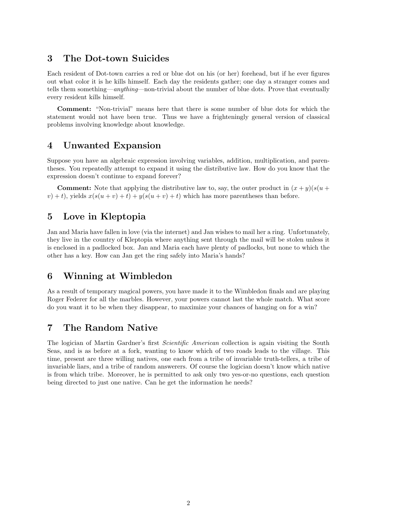# 3 The Dot-town Suicides

Each resident of Dot-town carries a red or blue dot on his (or her) forehead, but if he ever figures out what color it is he kills himself. Each day the residents gather; one day a stranger comes and tells them something—anything—non-trivial about the number of blue dots. Prove that eventually every resident kills himself.

Comment: "Non-trivial" means here that there is some number of blue dots for which the statement would not have been true. Thus we have a frighteningly general version of classical problems involving knowledge about knowledge.

# 4 Unwanted Expansion

Suppose you have an algebraic expression involving variables, addition, multiplication, and parentheses. You repeatedly attempt to expand it using the distributive law. How do you know that the expression doesn't continue to expand forever?

**Comment:** Note that applying the distributive law to, say, the outer product in  $(x + y)(s(u +$  $v$ ) + t), yields  $x(s(u + v) + t) + y(s(u + v) + t)$  which has more parentheses than before.

# 5 Love in Kleptopia

Jan and Maria have fallen in love (via the internet) and Jan wishes to mail her a ring. Unfortunately, they live in the country of Kleptopia where anything sent through the mail will be stolen unless it is enclosed in a padlocked box. Jan and Maria each have plenty of padlocks, but none to which the other has a key. How can Jan get the ring safely into Maria's hands?

# 6 Winning at Wimbledon

As a result of temporary magical powers, you have made it to the Wimbledon finals and are playing Roger Federer for all the marbles. However, your powers cannot last the whole match. What score do you want it to be when they disappear, to maximize your chances of hanging on for a win?

# 7 The Random Native

The logician of Martin Gardner's first *Scientific American* collection is again visiting the South Seas, and is as before at a fork, wanting to know which of two roads leads to the village. This time, present are three willing natives, one each from a tribe of invariable truth-tellers, a tribe of invariable liars, and a tribe of random answerers. Of course the logician doesn't know which native is from which tribe. Moreover, he is permitted to ask only two yes-or-no questions, each question being directed to just one native. Can he get the information he needs?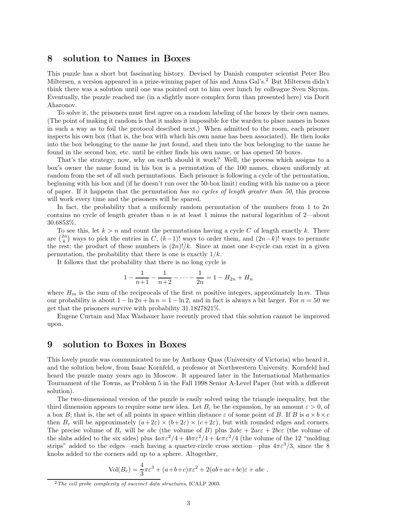### 8 solution to Names in Boxes

This puzzle has a short but fascinating history. Devised by Danish computer scientist Peter Bro Miltersen, a version appeared in a prize-winning paper of his and Anna Gal's.<sup>2</sup> But Miltersen didn't think there was a solution until one was pointed out to him over lunch by colleague Sven Skyum. Eventually, the puzzle reached me (in a slightly more complex form than presented here) via Dorit Aharonov.

To solve it, the prisoners must first agree on a random labeling of the boxes by their own names. (The point of making it random is that it makes it impossible for the warden to place names in boxes in such a way as to foil the protocol descibed next.) When admitted to the room, each prisoner inspects his own box (that is, the box with which his own name has been associated). He then looks into the box belonging to the name he just found, and then into the box belonging to the name he found in the second box, etc. until he either finds his own name, or has opened 50 boxes.

That's the strategy; now, why on earth should it work? Well, the process which assigns to a box's owner the name found in his box is a permutation of the 100 names, chosen uniformly at random from the set of all such permutations. Each prisoner is following a cycle of the permutation, beginning with his box and (if he doesn't run over the 50-box limit) ending with his name on a piece of paper. If it happens that the permutation has no cycles of length greater than 50, this process will work every time and the prisoners will be spared.

In fact, the probability that a uniformly random permutation of the numbers from 1 to  $2n$ contains no cycle of length greater than n is at least 1 minus the natural logarithm of  $2$ —about 30.6853%.

To see this, let  $k > n$  and count the permutations having a cycle C of length exactly k. There are  $\binom{2n}{k}$  ways to pick the entries in C,  $(k-1)!$  ways to order them, and  $(2n-k)!$  ways to permute the rest; the product of these numbers is  $(2n)!/k$ . Since at most one k-cycle can exist in a given permutation, the probability that there is one is exactly  $1/k$ .

It follows that the probability that there is no long cycle is

$$
1 - \frac{1}{n+1} - \frac{1}{n+2} - \dots - \frac{1}{2n} = 1 - H_{2n} + H_n
$$

where  $H_m$  is the sum of the reciprocals of the first m positive integers, approximately ln m. Thus our probability is about  $1 - \ln 2n + \ln n = 1 - \ln 2$ , and in fact is always a bit larger. For  $n = 50$  we get that the prisoners survive with probability 31.1827821%.

Eugene Curtain and Max Washauer have recently proved that this solution cannot be improved upon.

### 9 solution to Boxes in Boxes

This lovely puzzle was communicated to me by Anthony Quas (University of Victoria) who heard it, and the solution below, from Isaac Kornfeld, a professor at Northwestern University. Kornfeld had heard the puzzle many years ago in Moscow. It appeared later in the International Mathematics Tournament of the Towns, as Problem 5 in the Fall 1998 Senior A-Level Paper (but with a different solution).

The two-dimensional version of the puzzle is easily solved using the triangle inequality, but the third dimension appears to require some new idea. Let  $B_{\varepsilon}$  be the expansion, by an amount  $\varepsilon > 0$ , of a box B; that is, the set of all points in space within distance  $\varepsilon$  of some point of B. If B is  $a \times b \times c$ then  $B_{\varepsilon}$  will be approximately  $(a+2\varepsilon) \times (b+2\varepsilon) \times (c+2\varepsilon)$ , but with rounded edges and corners. The precise volume of  $B_{\varepsilon}$  will be abc (the volume of B) plus  $2ab\varepsilon + 2ac\varepsilon + 2bc\varepsilon$  (the volume of the slabs added to the six sides) plus  $4a\pi\varepsilon^2/4 + 4b\pi\varepsilon^2/4 + 4c\pi\varepsilon^2/4$  (the volume of the 12 "molding") strips" added to the edges—each having a quarter-circle cross section—plus  $4\pi\varepsilon^3/3$ , since the 8 knobs added to the corners add up to a sphere. Altogether,

$$
Vol(B_{\varepsilon}) = \frac{4}{3}\pi\varepsilon^{3} + (a+b+c)\pi\varepsilon^{2} + 2(ab+ac+bc)\varepsilon + abc.
$$

 $2$  The cell probe complexity of succinct data structures, ICALP 2003.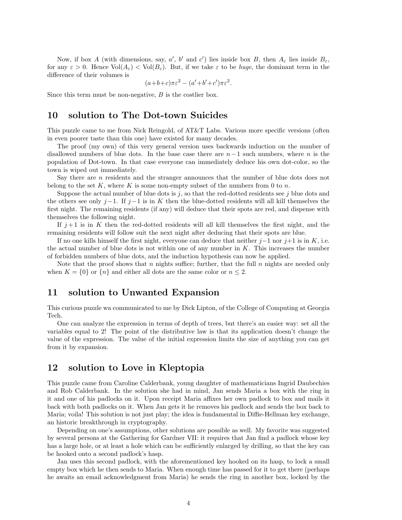Now, if box A (with dimensions, say, a', b' and c') lies inside box B, then  $A_{\varepsilon}$  lies inside  $B_{\varepsilon}$ , for any  $\varepsilon > 0$ . Hence  $Vol(A_{\varepsilon}) < Vol(B_{\varepsilon})$ . But, if we take  $\varepsilon$  to be *huge*, the dominant term in the difference of their volumes is

$$
(a+b+c)\pi\varepsilon^2 - (a'+b'+c')\pi\varepsilon^2.
$$

Since this term must be non-negative,  $B$  is the costlier box.

## 10 solution to The Dot-town Suicides

This puzzle came to me from Nick Reingold, of AT&T Labs. Various more specific versions (often in even poorer taste than this one) have existed for many decades.

The proof (my own) of this very general version uses backwards induction on the number of disallowed numbers of blue dots. In the base case there are  $n-1$  such numbers, where n is the population of Dot-town. In that case everyone can immediately deduce his own dot-color, so the town is wiped out immediately.

Say there are n residents and the stranger announces that the number of blue dots does not belong to the set K, where K is some non-empty subset of the numbers from 0 to n.

Suppose the actual number of blue dots is j, so that the red-dotted residents see j blue dots and the others see only j−1. If j−1 is in K then the blue-dotted residents will all kill themselves the first night. The remaining residents (if any) will deduce that their spots are red, and dispense with themselves the following night.

If  $j+1$  is in K then the red-dotted residents will all kill themselves the first night, and the remaining residents will follow suit the next night after deducing that their spots are blue.

If no one kills himself the first night, everyone can deduce that neither  $j-1$  nor  $j+1$  is in K, i.e. the actual number of blue dots is not within one of any number in  $K$ . This increases the number of forbidden numbers of blue dots, and the induction hypothesis can now be applied.

Note that the proof shows that n nights suffice; further, that the full  $n$  nights are needed only when  $K = \{0\}$  or  $\{n\}$  and either all dots are the same color or  $n \leq 2$ .

### 11 solution to Unwanted Expansion

This curious puzzle wa communicated to me by Dick Lipton, of the College of Computing at Georgia Tech.

One can analyze the expression in terms of depth of trees, but there's an easier way: set all the variables equal to 2! The point of the distributive law is that its application doesn't change the value of the expression. The value of the initial expression limits the size of anything you can get from it by expansion.

## 12 solution to Love in Kleptopia

This puzzle came from Caroline Calderbank, young daughter of mathematicians Ingrid Daubechies and Rob Calderbank. In the solution she had in mind, Jan sends Maria a box with the ring in it and one of his padlocks on it. Upon receipt Maria affixes her own padlock to box and mails it back with both padlocks on it. When Jan gets it he removes his padlock and sends the box back to Maria; voila! This solution is not just play; the idea is fundamental in Diffie-Hellman key exchange, an historic breakthrough in cryptography.

Depending on one's assumptions, other solutions are possible as well. My favorite was suggested by several persons at the Gathering for Gardner VII: it requires that Jan find a padlock whose key has a large hole, or at least a hole which can be sufficiently enlarged by drilling, so that the key can be hooked onto a second padlock's hasp.

Jan uses this second padlock, with the aforementioned key hooked on its hasp, to lock a small empty box which he then sends to Maria. When enough time has passed for it to get there (perhaps he awaits an email acknowledgment from Maria) he sends the ring in another box, locked by the